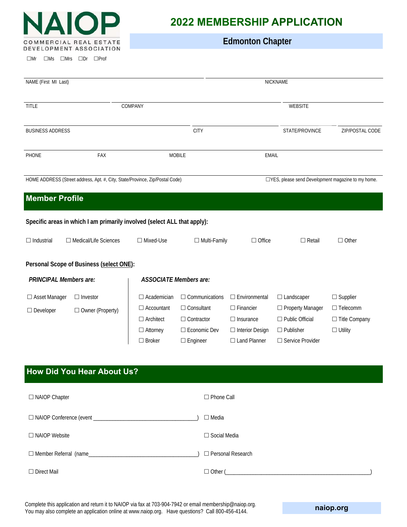

 $\Box$ Mr  $\Box$ Ms  $\Box$ Mrs  $\Box$ Dr  $\Box$ Prof

# **2022 MEMBERSHIP APPLICATION**

 **Edmonton Chapter**

| NAME (First MI Last)                |                                                                              |                                                                                                 |                                                                                                      | NICKNAME                                                                                                      |                                                                                                   |                                                                         |  |
|-------------------------------------|------------------------------------------------------------------------------|-------------------------------------------------------------------------------------------------|------------------------------------------------------------------------------------------------------|---------------------------------------------------------------------------------------------------------------|---------------------------------------------------------------------------------------------------|-------------------------------------------------------------------------|--|
|                                     |                                                                              |                                                                                                 |                                                                                                      |                                                                                                               |                                                                                                   |                                                                         |  |
| <b>TITLE</b><br>COMPANY             |                                                                              | WEBSITE                                                                                         |                                                                                                      |                                                                                                               |                                                                                                   |                                                                         |  |
| <b>BUSINESS ADDRESS</b>             |                                                                              | <b>CITY</b>                                                                                     |                                                                                                      |                                                                                                               | STATE/PROVINCE                                                                                    | ZIP/POSTAL CODE                                                         |  |
| PHONE                               | FAX                                                                          | <b>MOBILE</b>                                                                                   |                                                                                                      | <b>EMAIL</b>                                                                                                  |                                                                                                   |                                                                         |  |
|                                     | HOME ADDRESS (Street address, Apt. #, City, State/Province, Zip/Postal Code) |                                                                                                 |                                                                                                      |                                                                                                               | □YES, please send <i>Development</i> magazine to my home.                                         |                                                                         |  |
| <b>Member Profile</b>               |                                                                              |                                                                                                 |                                                                                                      |                                                                                                               |                                                                                                   |                                                                         |  |
|                                     | Specific areas in which I am primarily involved (select ALL that apply):     |                                                                                                 |                                                                                                      |                                                                                                               |                                                                                                   |                                                                         |  |
| $\Box$ Industrial                   | □ Medical/Life Sciences                                                      | $\Box$ Mixed-Use                                                                                | $\Box$ Multi-Family                                                                                  | $\Box$ Office                                                                                                 | $\Box$ Retail                                                                                     | $\Box$ Other                                                            |  |
|                                     | Personal Scope of Business (select ONE):                                     |                                                                                                 |                                                                                                      |                                                                                                               |                                                                                                   |                                                                         |  |
| <b>PRINCIPAL Members are:</b>       |                                                                              | <b>ASSOCIATE Members are:</b>                                                                   |                                                                                                      |                                                                                                               |                                                                                                   |                                                                         |  |
| □ Asset Manager<br>$\Box$ Developer | $\Box$ Investor<br>□ Owner (Property)                                        | $\Box$ Academician<br>$\Box$ Accountant<br>$\Box$ Architect<br>$\Box$ Attorney<br>$\Box$ Broker | $\Box$ Communications<br>$\Box$ Consultant<br>$\Box$ Contractor<br>□ Economic Dev<br>$\Box$ Engineer | $\Box$ Environmental<br>$\Box$ Financier<br>$\Box$ Insurance<br>$\Box$ Interior Design<br>$\Box$ Land Planner | □ Landscaper<br>□ Property Manager<br>□ Public Official<br>$\Box$ Publisher<br>□ Service Provider | $\Box$ Supplier<br>$\Box$ Telecomm<br>□ Title Company<br>$\Box$ Utility |  |
|                                     | <b>How Did You Hear About Us?</b>                                            |                                                                                                 |                                                                                                      |                                                                                                               |                                                                                                   |                                                                         |  |
| □ NAIOP Chapter                     |                                                                              |                                                                                                 | □ Phone Call                                                                                         |                                                                                                               |                                                                                                   |                                                                         |  |
|                                     |                                                                              |                                                                                                 | $\Box$ Media                                                                                         |                                                                                                               |                                                                                                   |                                                                         |  |
| □ NAIOP Website                     |                                                                              | □ Social Media                                                                                  |                                                                                                      |                                                                                                               |                                                                                                   |                                                                         |  |
|                                     |                                                                              |                                                                                                 |                                                                                                      | □ Personal Research                                                                                           |                                                                                                   |                                                                         |  |
| $\Box$ Direct Mail                  |                                                                              |                                                                                                 | □ Other (                                                                                            |                                                                                                               |                                                                                                   |                                                                         |  |

Complete this application and return it to NAIOP via fax at 703-904-7942 or email membership@naiop.org. You may also complete an application online at www.naiop.org. Have questions? Call 800-456-4144.